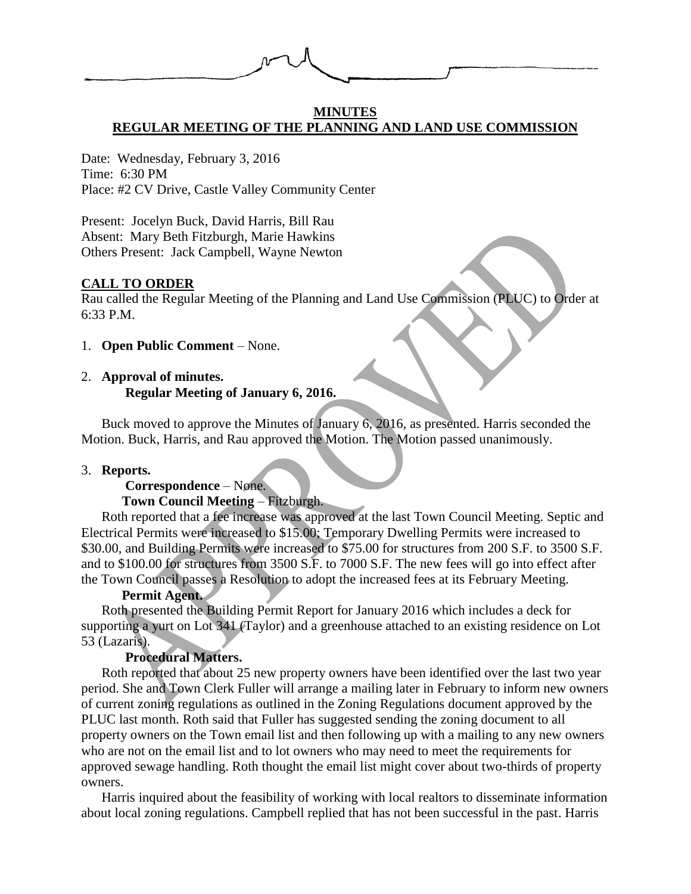

#### **MINUTES REGULAR MEETING OF THE PLANNING AND LAND USE COMMISSION**

Date: Wednesday, February 3, 2016 Time: 6:30 PM Place: #2 CV Drive, Castle Valley Community Center

Present: Jocelyn Buck, David Harris, Bill Rau Absent: Mary Beth Fitzburgh, Marie Hawkins Others Present: Jack Campbell, Wayne Newton

## **CALL TO ORDER**

Rau called the Regular Meeting of the Planning and Land Use Commission (PLUC) to Order at 6:33 P.M.

1. **Open Public Comment** – None.

# 2. **Approval of minutes. Regular Meeting of January 6, 2016.**

Buck moved to approve the Minutes of January 6, 2016, as presented. Harris seconded the Motion. Buck, Harris, and Rau approved the Motion. The Motion passed unanimously.

#### 3. **Reports.**

# **Correspondence** – None.

# **Town Council Meeting** – Fitzburgh.

Roth reported that a fee increase was approved at the last Town Council Meeting. Septic and Electrical Permits were increased to \$15.00; Temporary Dwelling Permits were increased to \$30.00, and Building Permits were increased to \$75.00 for structures from 200 S.F. to 3500 S.F. and to \$100.00 for structures from 3500 S.F. to 7000 S.F. The new fees will go into effect after the Town Council passes a Resolution to adopt the increased fees at its February Meeting.

# **Permit Agent.**

Roth presented the Building Permit Report for January 2016 which includes a deck for supporting a yurt on Lot 341 (Taylor) and a greenhouse attached to an existing residence on Lot 53 (Lazaris).

# **Procedural Matters.**

Roth reported that about 25 new property owners have been identified over the last two year period. She and Town Clerk Fuller will arrange a mailing later in February to inform new owners of current zoning regulations as outlined in the Zoning Regulations document approved by the PLUC last month. Roth said that Fuller has suggested sending the zoning document to all property owners on the Town email list and then following up with a mailing to any new owners who are not on the email list and to lot owners who may need to meet the requirements for approved sewage handling. Roth thought the email list might cover about two-thirds of property owners.

Harris inquired about the feasibility of working with local realtors to disseminate information about local zoning regulations. Campbell replied that has not been successful in the past. Harris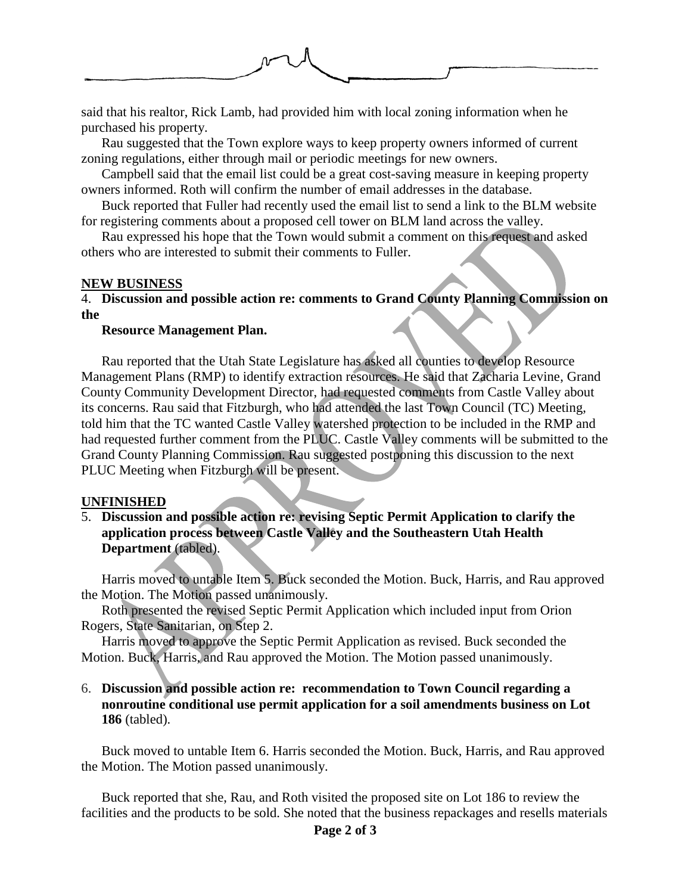

said that his realtor, Rick Lamb, had provided him with local zoning information when he purchased his property.

Rau suggested that the Town explore ways to keep property owners informed of current zoning regulations, either through mail or periodic meetings for new owners.

Campbell said that the email list could be a great cost-saving measure in keeping property owners informed. Roth will confirm the number of email addresses in the database.

Buck reported that Fuller had recently used the email list to send a link to the BLM website for registering comments about a proposed cell tower on BLM land across the valley.

Rau expressed his hope that the Town would submit a comment on this request and asked others who are interested to submit their comments to Fuller.

## **NEW BUSINESS**

4. **Discussion and possible action re: comments to Grand County Planning Commission on the** 

#### **Resource Management Plan.**

Rau reported that the Utah State Legislature has asked all counties to develop Resource Management Plans (RMP) to identify extraction resources. He said that Zacharia Levine, Grand County Community Development Director, had requested comments from Castle Valley about its concerns. Rau said that Fitzburgh, who had attended the last Town Council (TC) Meeting, told him that the TC wanted Castle Valley watershed protection to be included in the RMP and had requested further comment from the PLUC. Castle Valley comments will be submitted to the Grand County Planning Commission. Rau suggested postponing this discussion to the next PLUC Meeting when Fitzburgh will be present.

#### **UNFINISHED**

5. **Discussion and possible action re: revising Septic Permit Application to clarify the application process between Castle Valley and the Southeastern Utah Health Department** (tabled).

Harris moved to untable Item 5. Buck seconded the Motion. Buck, Harris, and Rau approved the Motion. The Motion passed unanimously.

Roth presented the revised Septic Permit Application which included input from Orion Rogers, State Sanitarian, on Step 2.

Harris moved to approve the Septic Permit Application as revised. Buck seconded the Motion. Buck, Harris, and Rau approved the Motion. The Motion passed unanimously.

# 6. **Discussion and possible action re: recommendation to Town Council regarding a nonroutine conditional use permit application for a soil amendments business on Lot 186** (tabled).

Buck moved to untable Item 6. Harris seconded the Motion. Buck, Harris, and Rau approved the Motion. The Motion passed unanimously.

Buck reported that she, Rau, and Roth visited the proposed site on Lot 186 to review the facilities and the products to be sold. She noted that the business repackages and resells materials